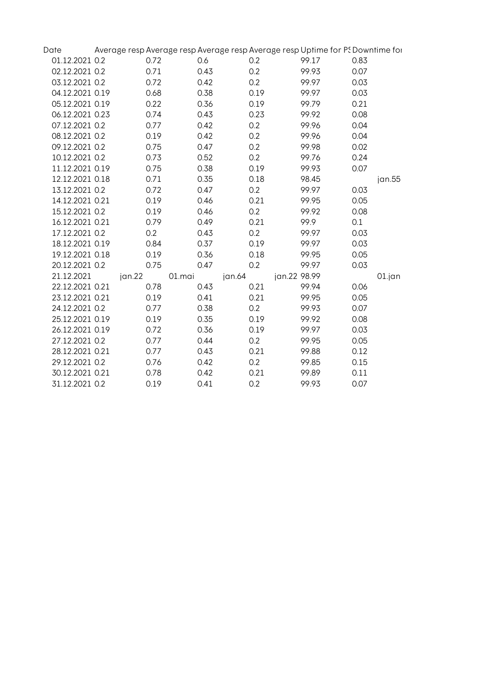| Date            |        |        |        | Average resp Average resp Average resp Average resp Uptime for PS Downtime for |      |           |
|-----------------|--------|--------|--------|--------------------------------------------------------------------------------|------|-----------|
| 01.12.2021 0.2  | 0.72   | 0.6    | 0.2    | 99.17                                                                          | 0.83 |           |
| 02.12.2021 0.2  | 0.71   | 0.43   | 0.2    | 99.93                                                                          | 0.07 |           |
| 03.12.2021 0.2  | 0.72   | 0.42   | 0.2    | 99.97                                                                          | 0.03 |           |
| 04.12.2021 0.19 | 0.68   | 0.38   | 0.19   | 99.97                                                                          | 0.03 |           |
| 05.12.2021 0.19 | 0.22   | 0.36   | 0.19   | 99.79                                                                          | 0.21 |           |
| 06.12.2021 0.23 | 0.74   | 0.43   | 0.23   | 99.92                                                                          | 0.08 |           |
| 07.12.2021 0.2  | 0.77   | 0.42   | 0.2    | 99.96                                                                          | 0.04 |           |
| 08.12.2021 0.2  | 0.19   | 0.42   | 0.2    | 99.96                                                                          | 0.04 |           |
| 09.12.2021 0.2  | 0.75   | 0.47   | 0.2    | 99.98                                                                          | 0.02 |           |
| 10.12.2021 0.2  | 0.73   | 0.52   | 0.2    | 99.76                                                                          | 0.24 |           |
| 11.12.2021 0.19 | 0.75   | 0.38   | 0.19   | 99.93                                                                          | 0.07 |           |
| 12.12.2021 0.18 | 0.71   | 0.35   | 0.18   | 98.45                                                                          |      | jan.55    |
| 13.12.2021 0.2  | 0.72   | 0.47   | 0.2    | 99.97                                                                          | 0.03 |           |
| 14.12.2021 0.21 | 0.19   | 0.46   | 0.21   | 99.95                                                                          | 0.05 |           |
| 15.12.2021 0.2  | 0.19   | 0.46   | 0.2    | 99.92                                                                          | 0.08 |           |
| 16.12.2021 0.21 | 0.79   | 0.49   | 0.21   | 99.9                                                                           | 0.1  |           |
| 17.12.2021 0.2  | 0.2    | 0.43   | 0.2    | 99.97                                                                          | 0.03 |           |
| 18.12.2021 0.19 | 0.84   | 0.37   | 0.19   | 99.97                                                                          | 0.03 |           |
| 19.12.2021 0.18 | 0.19   | 0.36   | 0.18   | 99.95                                                                          | 0.05 |           |
| 20.12.2021 0.2  | 0.75   | 0.47   | 0.2    | 99.97                                                                          | 0.03 |           |
| 21.12.2021      | jan.22 | 01.mai | jan.64 | jan.22 98.99                                                                   |      | $01$ .jan |
| 22.12.2021 0.21 | 0.78   | 0.43   | 0.21   | 99.94                                                                          | 0.06 |           |
| 23.12.2021 0.21 | 0.19   | 0.41   | 0.21   | 99.95                                                                          | 0.05 |           |
| 24.12.2021 0.2  | 0.77   | 0.38   | 0.2    | 99.93                                                                          | 0.07 |           |
| 25.12.2021 0.19 | 0.19   | 0.35   | 0.19   | 99.92                                                                          | 0.08 |           |
| 26.12.2021 0.19 | 0.72   | 0.36   | 0.19   | 99.97                                                                          | 0.03 |           |
| 27.12.2021 0.2  | 0.77   | 0.44   | 0.2    | 99.95                                                                          | 0.05 |           |
| 28.12.2021 0.21 | 0.77   | 0.43   | 0.21   | 99.88                                                                          | 0.12 |           |
| 29.12.2021 0.2  | 0.76   | 0.42   | 0.2    | 99.85                                                                          | 0.15 |           |
| 30.12.2021 0.21 | 0.78   | 0.42   | 0.21   | 99.89                                                                          | 0.11 |           |
| 31.12.2021 0.2  | 0.19   | 0.41   | 0.2    | 99.93                                                                          | 0.07 |           |